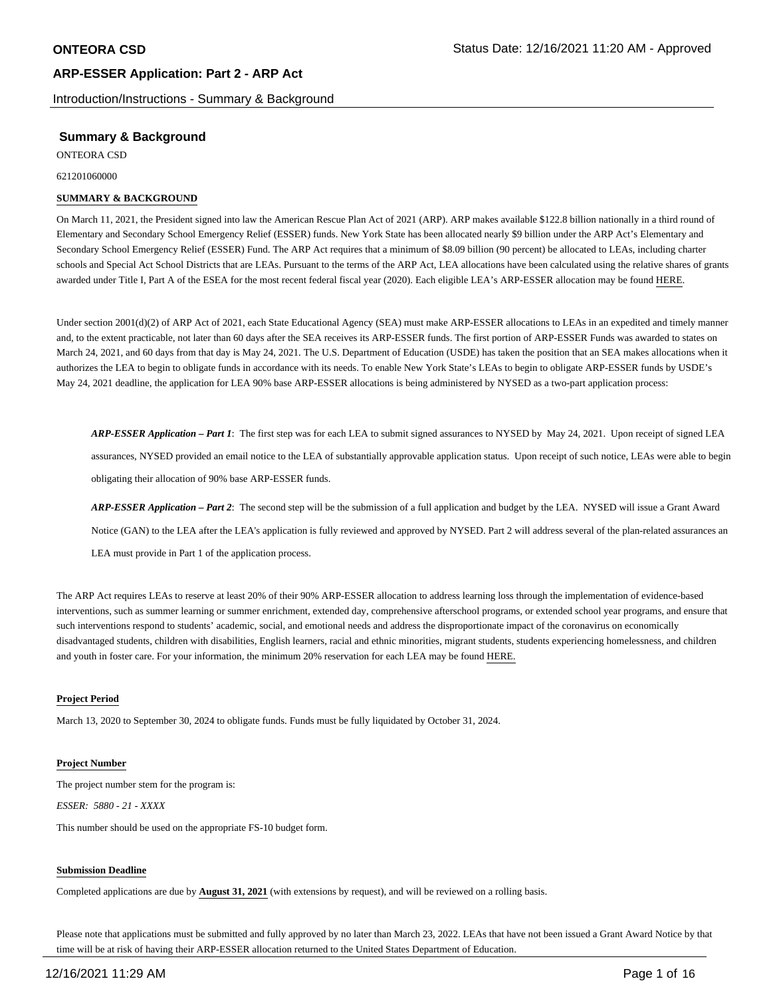Introduction/Instructions - Summary & Background

## **Summary & Background**

ONTEORA CSD

621201060000

### **SUMMARY & BACKGROUND**

On March 11, 2021, the President signed into law the American Rescue Plan Act of 2021 (ARP). ARP makes available \$122.8 billion nationally in a third round of Elementary and Secondary School Emergency Relief (ESSER) funds. New York State has been allocated nearly \$9 billion under the ARP Act's Elementary and Secondary School Emergency Relief (ESSER) Fund. The ARP Act requires that a minimum of \$8.09 billion (90 percent) be allocated to LEAs, including charter schools and Special Act School Districts that are LEAs. Pursuant to the terms of the ARP Act, LEA allocations have been calculated using the relative shares of grants awarded under Title I, Part A of the ESEA for the most recent federal fiscal year (2020). Each eligible LEA's ARP-ESSER allocation may be found HERE.

Under section 2001(d)(2) of ARP Act of 2021, each State Educational Agency (SEA) must make ARP-ESSER allocations to LEAs in an expedited and timely manner and, to the extent practicable, not later than 60 days after the SEA receives its ARP-ESSER funds. The first portion of ARP-ESSER Funds was awarded to states on March 24, 2021, and 60 days from that day is May 24, 2021. The U.S. Department of Education (USDE) has taken the position that an SEA makes allocations when it authorizes the LEA to begin to obligate funds in accordance with its needs. To enable New York State's LEAs to begin to obligate ARP-ESSER funds by USDE's May 24, 2021 deadline, the application for LEA 90% base ARP-ESSER allocations is being administered by NYSED as a two-part application process:

*ARP-ESSER Application – Part 1*: The first step was for each LEA to submit signed assurances to NYSED by May 24, 2021. Upon receipt of signed LEA assurances, NYSED provided an email notice to the LEA of substantially approvable application status. Upon receipt of such notice, LEAs were able to begin obligating their allocation of 90% base ARP-ESSER funds.

*ARP-ESSER Application – Part 2*: The second step will be the submission of a full application and budget by the LEA. NYSED will issue a Grant Award Notice (GAN) to the LEA after the LEA's application is fully reviewed and approved by NYSED. Part 2 will address several of the plan-related assurances an LEA must provide in Part 1 of the application process.

The ARP Act requires LEAs to reserve at least 20% of their 90% ARP-ESSER allocation to address learning loss through the implementation of evidence-based interventions, such as summer learning or summer enrichment, extended day, comprehensive afterschool programs, or extended school year programs, and ensure that such interventions respond to students' academic, social, and emotional needs and address the disproportionate impact of the coronavirus on economically disadvantaged students, children with disabilities, English learners, racial and ethnic minorities, migrant students, students experiencing homelessness, and children and youth in foster care. For your information, the minimum 20% reservation for each LEA may be found HERE.

### **Project Period**

March 13, 2020 to September 30, 2024 to obligate funds. Funds must be fully liquidated by October 31, 2024.

### **Project Number**

The project number stem for the program is: *ESSER: 5880 - 21 - XXXX*

This number should be used on the appropriate FS-10 budget form.

### **Submission Deadline**

Completed applications are due by **August 31, 2021** (with extensions by request), and will be reviewed on a rolling basis.

Please note that applications must be submitted and fully approved by no later than March 23, 2022. LEAs that have not been issued a Grant Award Notice by that time will be at risk of having their ARP-ESSER allocation returned to the United States Department of Education.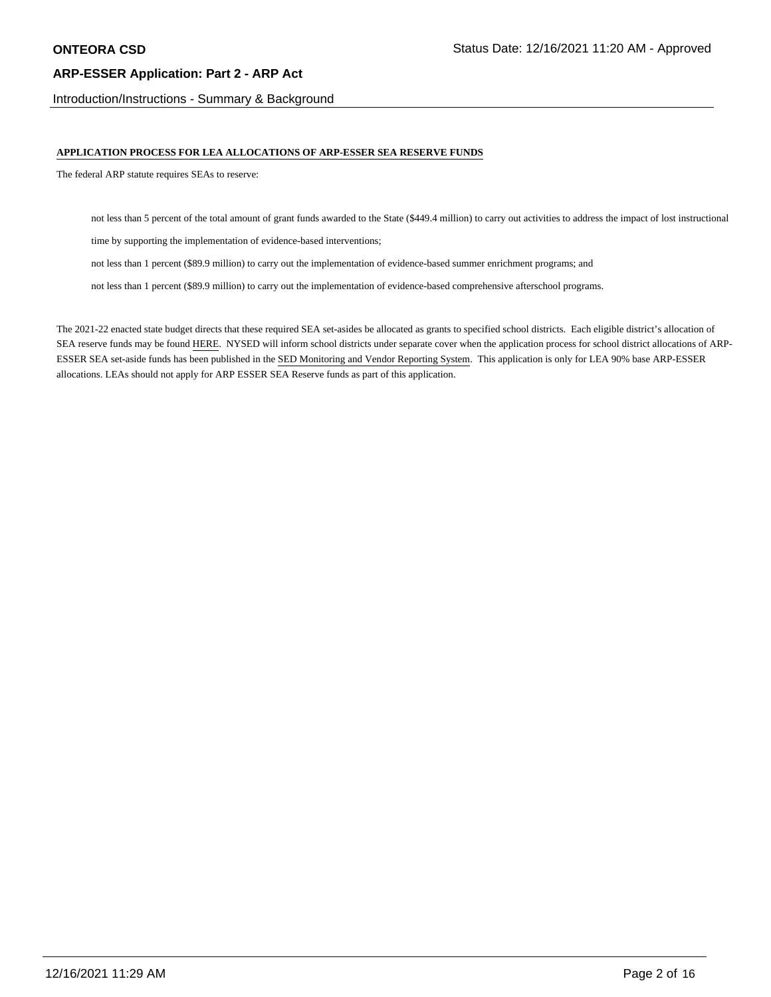Introduction/Instructions - Summary & Background

### **APPLICATION PROCESS FOR LEA ALLOCATIONS OF ARP-ESSER SEA RESERVE FUNDS**

The federal ARP statute requires SEAs to reserve:

not less than 5 percent of the total amount of grant funds awarded to the State (\$449.4 million) to carry out activities to address the impact of lost instructional

time by supporting the implementation of evidence-based interventions;

not less than 1 percent (\$89.9 million) to carry out the implementation of evidence-based summer enrichment programs; and

not less than 1 percent (\$89.9 million) to carry out the implementation of evidence-based comprehensive afterschool programs.

The 2021-22 enacted state budget directs that these required SEA set-asides be allocated as grants to specified school districts. Each eligible district's allocation of SEA reserve funds may be found HERE. NYSED will inform school districts under separate cover when the application process for school district allocations of ARP-ESSER SEA set-aside funds has been published in the SED Monitoring and Vendor Reporting System. This application is only for LEA 90% base ARP-ESSER allocations. LEAs should not apply for ARP ESSER SEA Reserve funds as part of this application.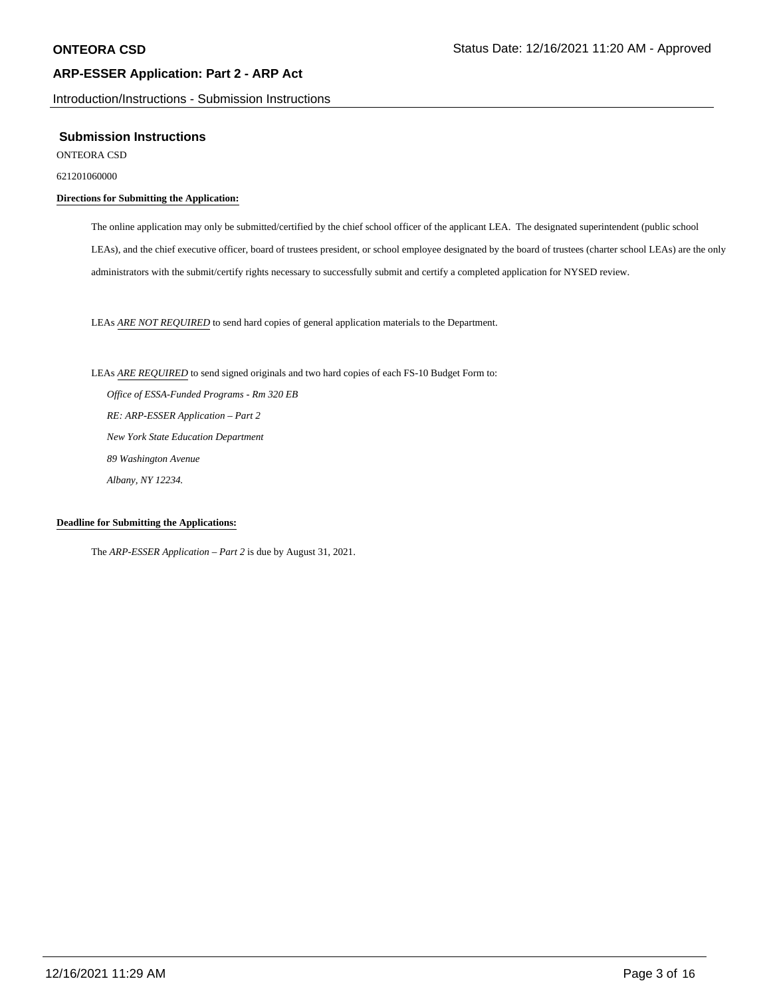Introduction/Instructions - Submission Instructions

### **Submission Instructions**

ONTEORA CSD

621201060000

### **Directions for Submitting the Application:**

The online application may only be submitted/certified by the chief school officer of the applicant LEA. The designated superintendent (public school LEAs), and the chief executive officer, board of trustees president, or school employee designated by the board of trustees (charter school LEAs) are the only administrators with the submit/certify rights necessary to successfully submit and certify a completed application for NYSED review.

LEAs *ARE NOT REQUIRED* to send hard copies of general application materials to the Department.

LEAs *ARE REQUIRED* to send signed originals and two hard copies of each FS-10 Budget Form to:  *Office of ESSA-Funded Programs - Rm 320 EB RE: ARP-ESSER Application – Part 2 New York State Education Department 89 Washington Avenue Albany, NY 12234.*

### **Deadline for Submitting the Applications:**

The *ARP-ESSER Application – Part 2* is due by August 31, 2021.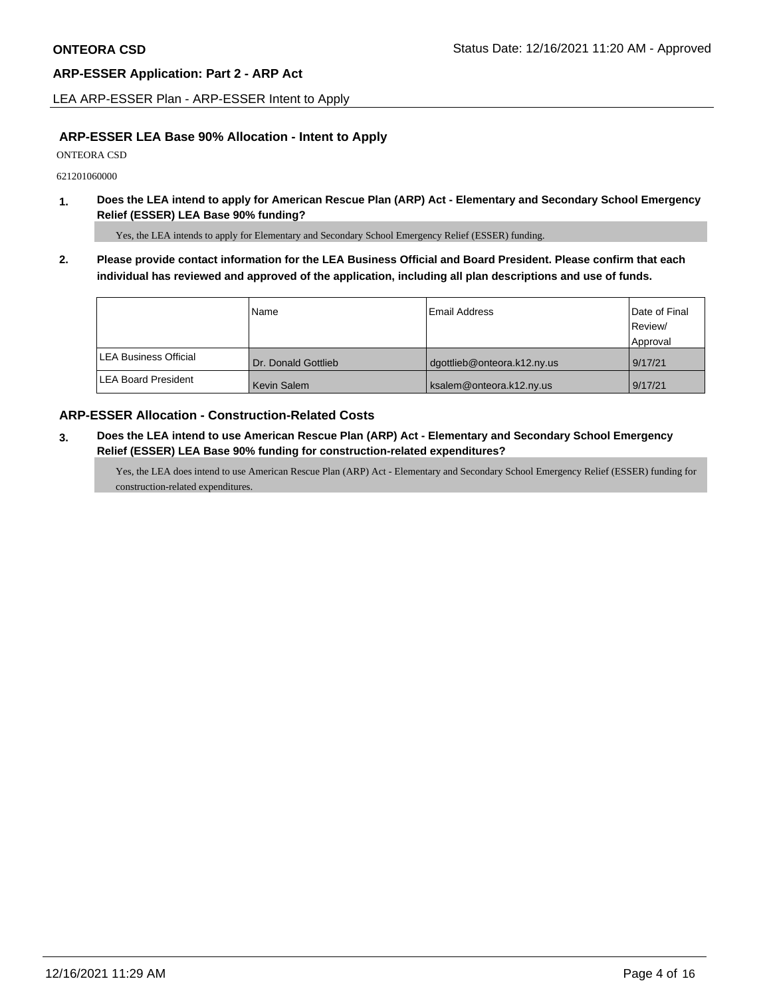LEA ARP-ESSER Plan - ARP-ESSER Intent to Apply

### **ARP-ESSER LEA Base 90% Allocation - Intent to Apply**

ONTEORA CSD

621201060000

**1. Does the LEA intend to apply for American Rescue Plan (ARP) Act - Elementary and Secondary School Emergency Relief (ESSER) LEA Base 90% funding?**

Yes, the LEA intends to apply for Elementary and Secondary School Emergency Relief (ESSER) funding.

**2. Please provide contact information for the LEA Business Official and Board President. Please confirm that each individual has reviewed and approved of the application, including all plan descriptions and use of funds.** 

|                               | Name                | Email Address               | Date of Final |
|-------------------------------|---------------------|-----------------------------|---------------|
|                               |                     |                             | Review/       |
|                               |                     |                             | Approval      |
| <b>ILEA Business Official</b> | Dr. Donald Gottlieb | dgottlieb@onteora.k12.ny.us | 9/17/21       |
| <b>ILEA Board President</b>   | Kevin Salem         | ksalem@onteora.k12.ny.us    | 9/17/21       |

## **ARP-ESSER Allocation - Construction-Related Costs**

**3. Does the LEA intend to use American Rescue Plan (ARP) Act - Elementary and Secondary School Emergency Relief (ESSER) LEA Base 90% funding for construction-related expenditures?**

Yes, the LEA does intend to use American Rescue Plan (ARP) Act - Elementary and Secondary School Emergency Relief (ESSER) funding for construction-related expenditures.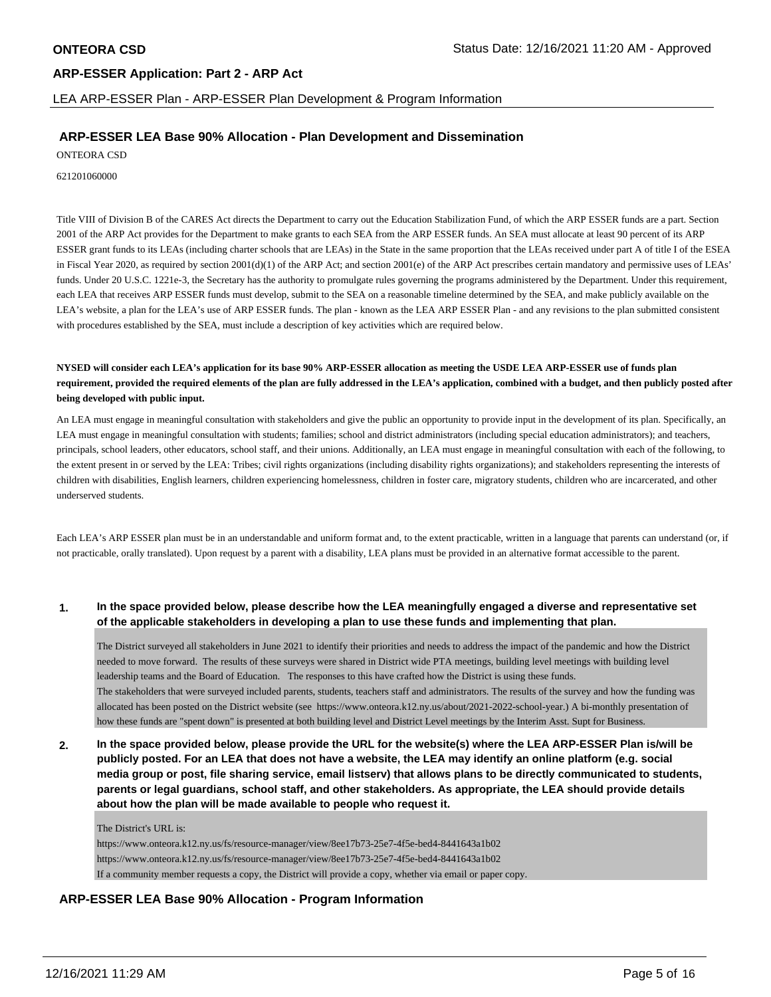LEA ARP-ESSER Plan - ARP-ESSER Plan Development & Program Information

## **ARP-ESSER LEA Base 90% Allocation - Plan Development and Dissemination**

ONTEORA CSD

621201060000

Title VIII of Division B of the CARES Act directs the Department to carry out the Education Stabilization Fund, of which the ARP ESSER funds are a part. Section 2001 of the ARP Act provides for the Department to make grants to each SEA from the ARP ESSER funds. An SEA must allocate at least 90 percent of its ARP ESSER grant funds to its LEAs (including charter schools that are LEAs) in the State in the same proportion that the LEAs received under part A of title I of the ESEA in Fiscal Year 2020, as required by section 2001(d)(1) of the ARP Act; and section 2001(e) of the ARP Act prescribes certain mandatory and permissive uses of LEAs' funds. Under 20 U.S.C. 1221e-3, the Secretary has the authority to promulgate rules governing the programs administered by the Department. Under this requirement, each LEA that receives ARP ESSER funds must develop, submit to the SEA on a reasonable timeline determined by the SEA, and make publicly available on the LEA's website, a plan for the LEA's use of ARP ESSER funds. The plan - known as the LEA ARP ESSER Plan - and any revisions to the plan submitted consistent with procedures established by the SEA, must include a description of key activities which are required below.

**NYSED will consider each LEA's application for its base 90% ARP-ESSER allocation as meeting the USDE LEA ARP-ESSER use of funds plan requirement, provided the required elements of the plan are fully addressed in the LEA's application, combined with a budget, and then publicly posted after being developed with public input.**

An LEA must engage in meaningful consultation with stakeholders and give the public an opportunity to provide input in the development of its plan. Specifically, an LEA must engage in meaningful consultation with students; families; school and district administrators (including special education administrators); and teachers, principals, school leaders, other educators, school staff, and their unions. Additionally, an LEA must engage in meaningful consultation with each of the following, to the extent present in or served by the LEA: Tribes; civil rights organizations (including disability rights organizations); and stakeholders representing the interests of children with disabilities, English learners, children experiencing homelessness, children in foster care, migratory students, children who are incarcerated, and other underserved students.

Each LEA's ARP ESSER plan must be in an understandable and uniform format and, to the extent practicable, written in a language that parents can understand (or, if not practicable, orally translated). Upon request by a parent with a disability, LEA plans must be provided in an alternative format accessible to the parent.

### **1. In the space provided below, please describe how the LEA meaningfully engaged a diverse and representative set of the applicable stakeholders in developing a plan to use these funds and implementing that plan.**

The District surveyed all stakeholders in June 2021 to identify their priorities and needs to address the impact of the pandemic and how the District needed to move forward. The results of these surveys were shared in District wide PTA meetings, building level meetings with building level leadership teams and the Board of Education. The responses to this have crafted how the District is using these funds. The stakeholders that were surveyed included parents, students, teachers staff and administrators. The results of the survey and how the funding was allocated has been posted on the District website (see https://www.onteora.k12.ny.us/about/2021-2022-school-year.) A bi-monthly presentation of how these funds are "spent down" is presented at both building level and District Level meetings by the Interim Asst. Supt for Business.

**2. In the space provided below, please provide the URL for the website(s) where the LEA ARP-ESSER Plan is/will be publicly posted. For an LEA that does not have a website, the LEA may identify an online platform (e.g. social media group or post, file sharing service, email listserv) that allows plans to be directly communicated to students, parents or legal guardians, school staff, and other stakeholders. As appropriate, the LEA should provide details about how the plan will be made available to people who request it.**

### The District's URL is:

https://www.onteora.k12.ny.us/fs/resource-manager/view/8ee17b73-25e7-4f5e-bed4-8441643a1b02 https://www.onteora.k12.ny.us/fs/resource-manager/view/8ee17b73-25e7-4f5e-bed4-8441643a1b02 If a community member requests a copy, the District will provide a copy, whether via email or paper copy.

## **ARP-ESSER LEA Base 90% Allocation - Program Information**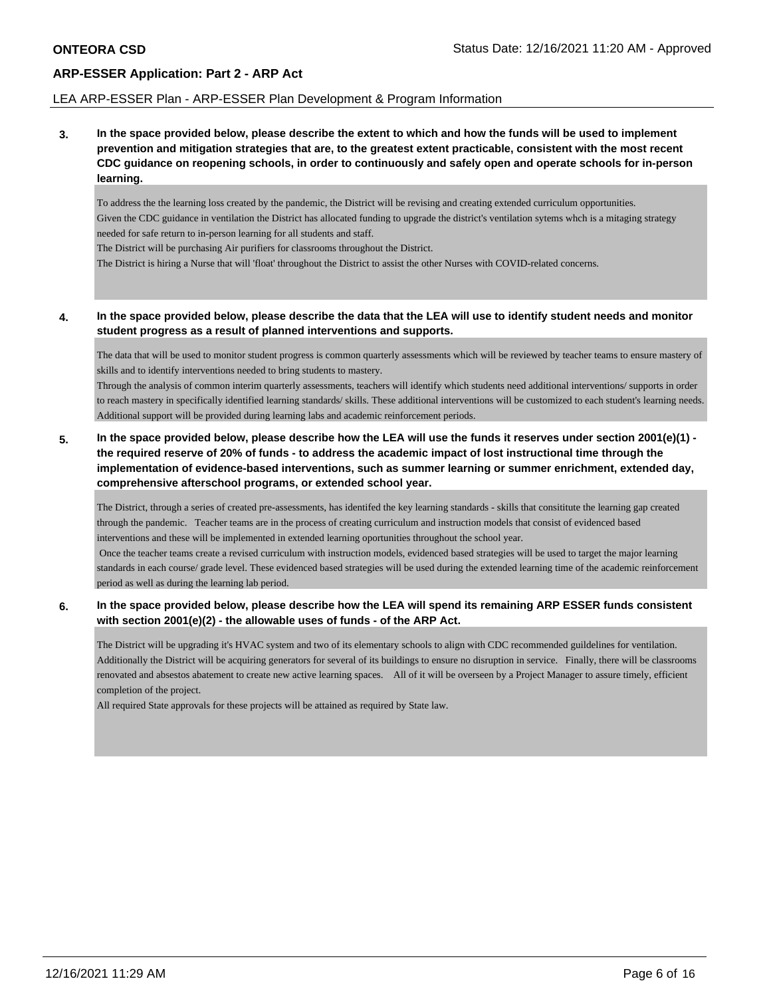### LEA ARP-ESSER Plan - ARP-ESSER Plan Development & Program Information

**3. In the space provided below, please describe the extent to which and how the funds will be used to implement prevention and mitigation strategies that are, to the greatest extent practicable, consistent with the most recent CDC guidance on reopening schools, in order to continuously and safely open and operate schools for in-person learning.**

To address the the learning loss created by the pandemic, the District will be revising and creating extended curriculum opportunities. Given the CDC guidance in ventilation the District has allocated funding to upgrade the district's ventilation sytems whch is a mitaging strategy needed for safe return to in-person learning for all students and staff.

The District will be purchasing Air purifiers for classrooms throughout the District.

The District is hiring a Nurse that will 'float' throughout the District to assist the other Nurses with COVID-related concerns.

### **4. In the space provided below, please describe the data that the LEA will use to identify student needs and monitor student progress as a result of planned interventions and supports.**

The data that will be used to monitor student progress is common quarterly assessments which will be reviewed by teacher teams to ensure mastery of skills and to identify interventions needed to bring students to mastery.

Through the analysis of common interim quarterly assessments, teachers will identify which students need additional interventions/ supports in order to reach mastery in specifically identified learning standards/ skills. These additional interventions will be customized to each student's learning needs. Additional support will be provided during learning labs and academic reinforcement periods.

## **5. In the space provided below, please describe how the LEA will use the funds it reserves under section 2001(e)(1) the required reserve of 20% of funds - to address the academic impact of lost instructional time through the implementation of evidence-based interventions, such as summer learning or summer enrichment, extended day, comprehensive afterschool programs, or extended school year.**

The District, through a series of created pre-assessments, has identifed the key learning standards - skills that consititute the learning gap created through the pandemic. Teacher teams are in the process of creating curriculum and instruction models that consist of evidenced based interventions and these will be implemented in extended learning oportunities throughout the school year. Once the teacher teams create a revised curriculum with instruction models, evidenced based strategies will be used to target the major learning

standards in each course/ grade level. These evidenced based strategies will be used during the extended learning time of the academic reinforcement period as well as during the learning lab period.

## **6. In the space provided below, please describe how the LEA will spend its remaining ARP ESSER funds consistent with section 2001(e)(2) - the allowable uses of funds - of the ARP Act.**

The District will be upgrading it's HVAC system and two of its elementary schools to align with CDC recommended guildelines for ventilation. Additionally the District will be acquiring generators for several of its buildings to ensure no disruption in service. Finally, there will be classrooms renovated and absestos abatement to create new active learning spaces. All of it will be overseen by a Project Manager to assure timely, efficient completion of the project.

All required State approvals for these projects will be attained as required by State law.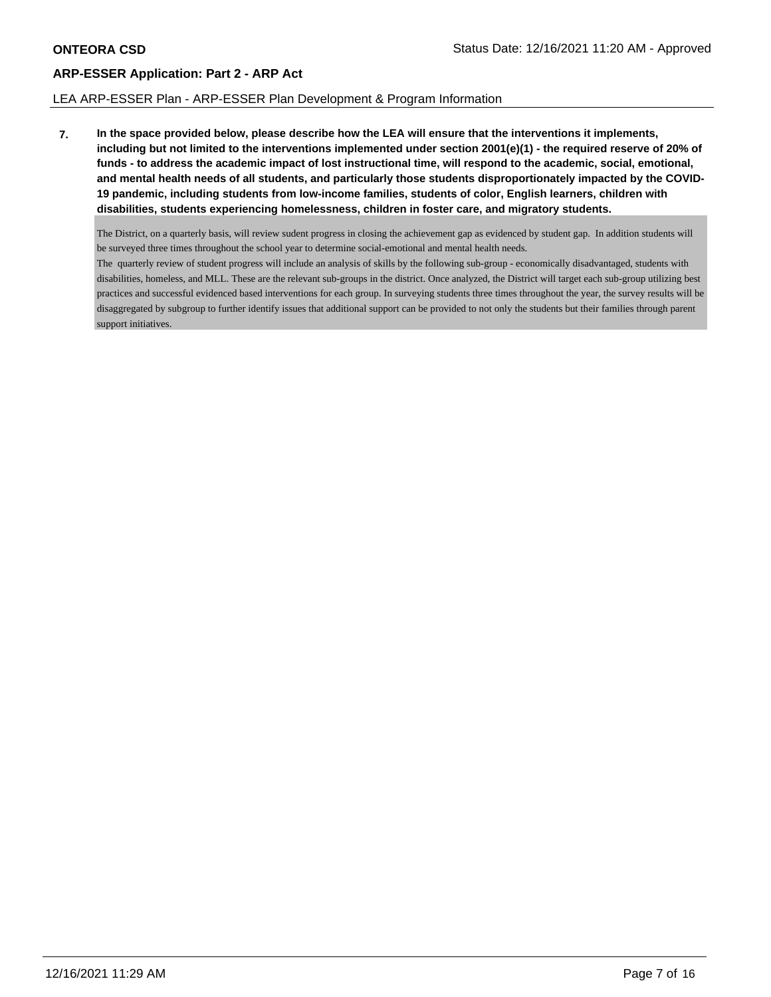### LEA ARP-ESSER Plan - ARP-ESSER Plan Development & Program Information

**7. In the space provided below, please describe how the LEA will ensure that the interventions it implements, including but not limited to the interventions implemented under section 2001(e)(1) - the required reserve of 20% of funds - to address the academic impact of lost instructional time, will respond to the academic, social, emotional, and mental health needs of all students, and particularly those students disproportionately impacted by the COVID-19 pandemic, including students from low-income families, students of color, English learners, children with disabilities, students experiencing homelessness, children in foster care, and migratory students.**

The District, on a quarterly basis, will review sudent progress in closing the achievement gap as evidenced by student gap. In addition students will be surveyed three times throughout the school year to determine social-emotional and mental health needs.

The quarterly review of student progress will include an analysis of skills by the following sub-group - economically disadvantaged, students with disabilities, homeless, and MLL. These are the relevant sub-groups in the district. Once analyzed, the District will target each sub-group utilizing best practices and successful evidenced based interventions for each group. In surveying students three times throughout the year, the survey results will be disaggregated by subgroup to further identify issues that additional support can be provided to not only the students but their families through parent support initiatives.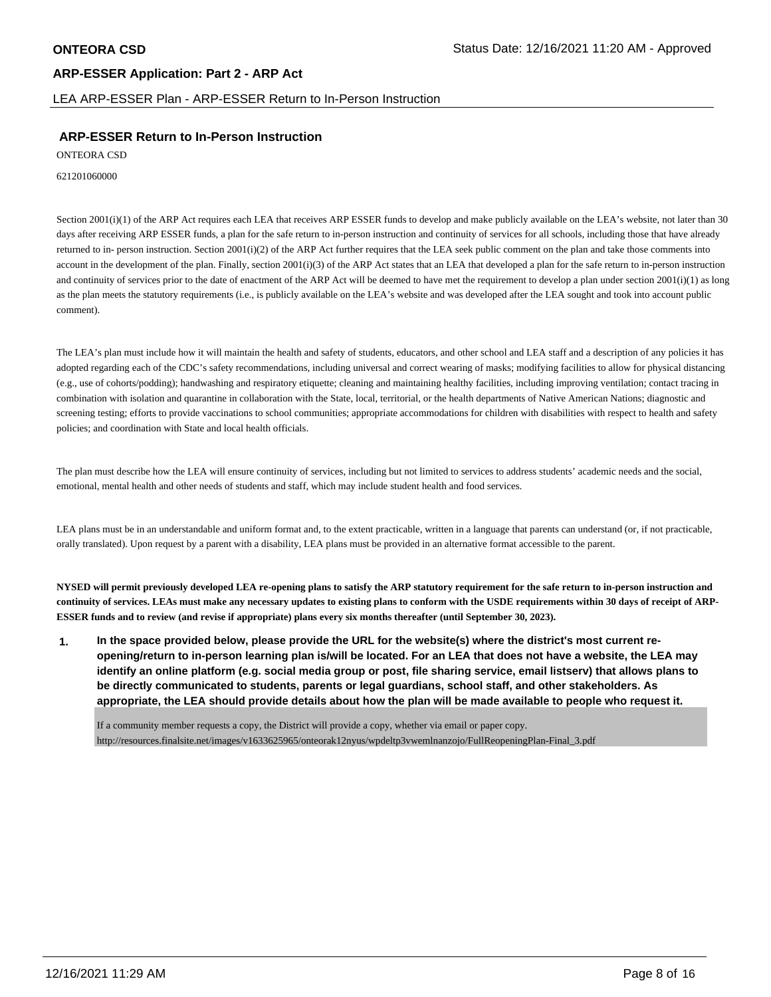## **ARP-ESSER Application: Part 2 - ARP Act** LEA ARP-ESSER Plan - ARP-ESSER Return to In-Person Instruction

## **ARP-ESSER Return to In-Person Instruction**

ONTEORA CSD

621201060000

Section 2001(i)(1) of the ARP Act requires each LEA that receives ARP ESSER funds to develop and make publicly available on the LEA's website, not later than 30 days after receiving ARP ESSER funds, a plan for the safe return to in-person instruction and continuity of services for all schools, including those that have already returned to in- person instruction. Section 2001(i)(2) of the ARP Act further requires that the LEA seek public comment on the plan and take those comments into account in the development of the plan. Finally, section 2001(i)(3) of the ARP Act states that an LEA that developed a plan for the safe return to in-person instruction and continuity of services prior to the date of enactment of the ARP Act will be deemed to have met the requirement to develop a plan under section  $2001(i)(1)$  as long as the plan meets the statutory requirements (i.e., is publicly available on the LEA's website and was developed after the LEA sought and took into account public comment).

The LEA's plan must include how it will maintain the health and safety of students, educators, and other school and LEA staff and a description of any policies it has adopted regarding each of the CDC's safety recommendations, including universal and correct wearing of masks; modifying facilities to allow for physical distancing (e.g., use of cohorts/podding); handwashing and respiratory etiquette; cleaning and maintaining healthy facilities, including improving ventilation; contact tracing in combination with isolation and quarantine in collaboration with the State, local, territorial, or the health departments of Native American Nations; diagnostic and screening testing; efforts to provide vaccinations to school communities; appropriate accommodations for children with disabilities with respect to health and safety policies; and coordination with State and local health officials.

The plan must describe how the LEA will ensure continuity of services, including but not limited to services to address students' academic needs and the social, emotional, mental health and other needs of students and staff, which may include student health and food services.

LEA plans must be in an understandable and uniform format and, to the extent practicable, written in a language that parents can understand (or, if not practicable, orally translated). Upon request by a parent with a disability, LEA plans must be provided in an alternative format accessible to the parent.

**NYSED will permit previously developed LEA re-opening plans to satisfy the ARP statutory requirement for the safe return to in-person instruction and continuity of services. LEAs must make any necessary updates to existing plans to conform with the USDE requirements within 30 days of receipt of ARP-ESSER funds and to review (and revise if appropriate) plans every six months thereafter (until September 30, 2023).**

**1. In the space provided below, please provide the URL for the website(s) where the district's most current reopening/return to in-person learning plan is/will be located. For an LEA that does not have a website, the LEA may identify an online platform (e.g. social media group or post, file sharing service, email listserv) that allows plans to be directly communicated to students, parents or legal guardians, school staff, and other stakeholders. As appropriate, the LEA should provide details about how the plan will be made available to people who request it.**

If a community member requests a copy, the District will provide a copy, whether via email or paper copy. http://resources.finalsite.net/images/v1633625965/onteorak12nyus/wpdeltp3vwemlnanzojo/FullReopeningPlan-Final\_3.pdf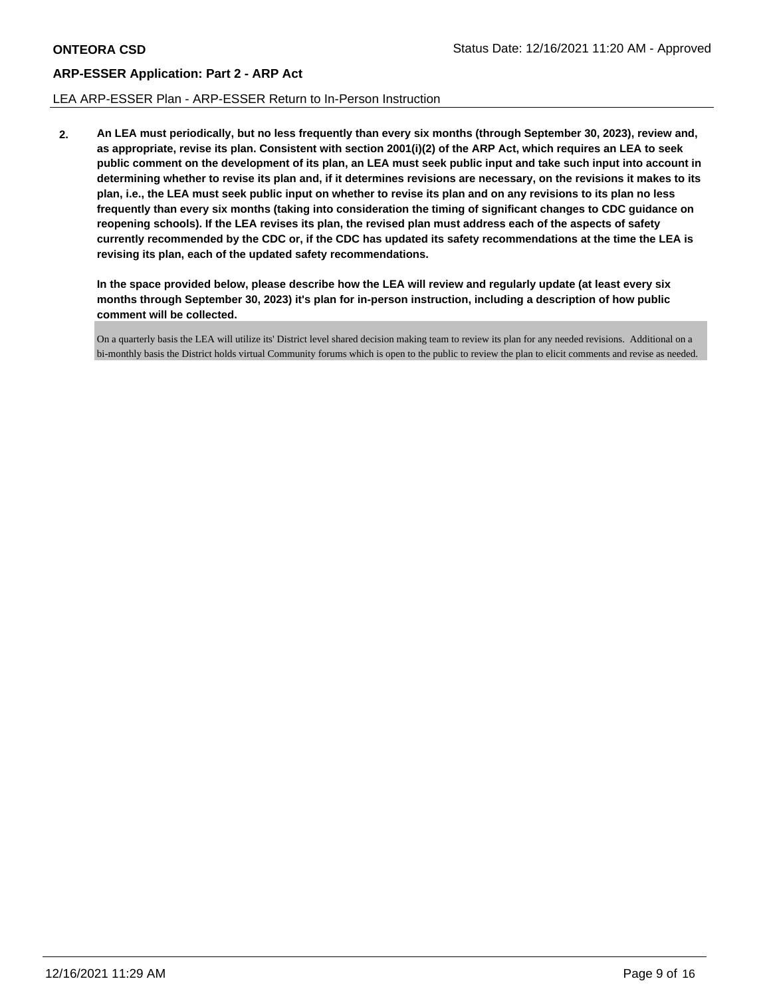### LEA ARP-ESSER Plan - ARP-ESSER Return to In-Person Instruction

**2. An LEA must periodically, but no less frequently than every six months (through September 30, 2023), review and, as appropriate, revise its plan. Consistent with section 2001(i)(2) of the ARP Act, which requires an LEA to seek public comment on the development of its plan, an LEA must seek public input and take such input into account in determining whether to revise its plan and, if it determines revisions are necessary, on the revisions it makes to its plan, i.e., the LEA must seek public input on whether to revise its plan and on any revisions to its plan no less frequently than every six months (taking into consideration the timing of significant changes to CDC guidance on reopening schools). If the LEA revises its plan, the revised plan must address each of the aspects of safety currently recommended by the CDC or, if the CDC has updated its safety recommendations at the time the LEA is revising its plan, each of the updated safety recommendations.**

**In the space provided below, please describe how the LEA will review and regularly update (at least every six months through September 30, 2023) it's plan for in-person instruction, including a description of how public comment will be collected.**

On a quarterly basis the LEA will utilize its' District level shared decision making team to review its plan for any needed revisions. Additional on a bi-monthly basis the District holds virtual Community forums which is open to the public to review the plan to elicit comments and revise as needed.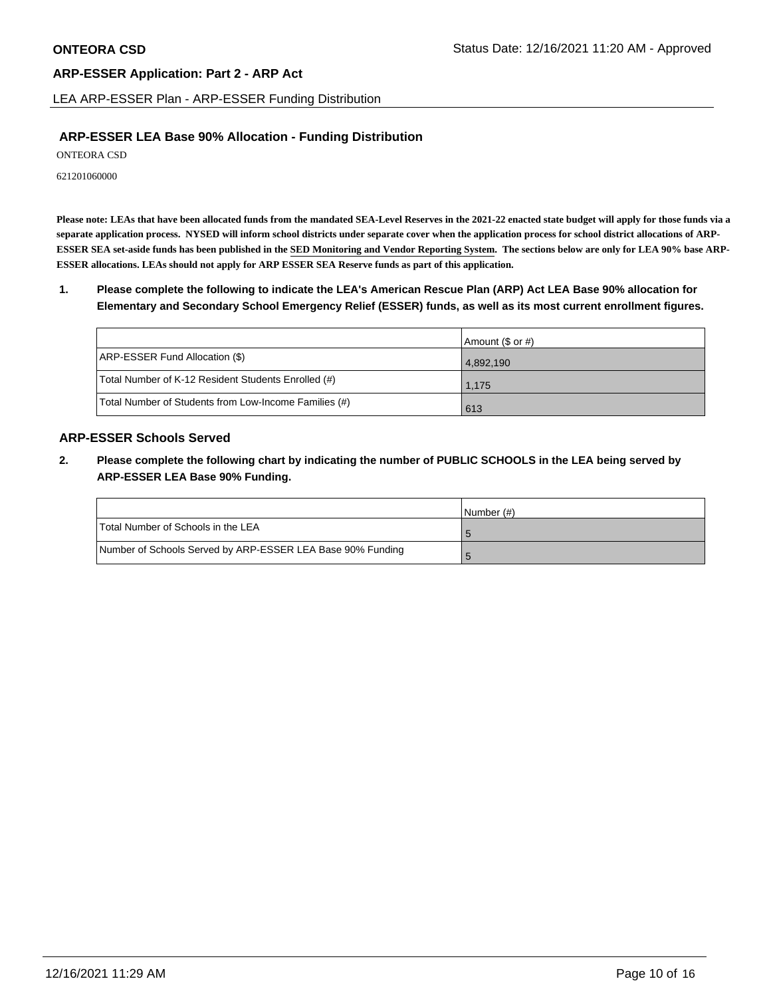LEA ARP-ESSER Plan - ARP-ESSER Funding Distribution

## **ARP-ESSER LEA Base 90% Allocation - Funding Distribution**

ONTEORA CSD

621201060000

**Please note: LEAs that have been allocated funds from the mandated SEA-Level Reserves in the 2021-22 enacted state budget will apply for those funds via a separate application process. NYSED will inform school districts under separate cover when the application process for school district allocations of ARP-ESSER SEA set-aside funds has been published in the SED Monitoring and Vendor Reporting System. The sections below are only for LEA 90% base ARP-ESSER allocations. LEAs should not apply for ARP ESSER SEA Reserve funds as part of this application.**

**1. Please complete the following to indicate the LEA's American Rescue Plan (ARP) Act LEA Base 90% allocation for Elementary and Secondary School Emergency Relief (ESSER) funds, as well as its most current enrollment figures.**

|                                                       | Amount (\$ or #) |
|-------------------------------------------------------|------------------|
| ARP-ESSER Fund Allocation (\$)                        | 4,892,190        |
| Total Number of K-12 Resident Students Enrolled (#)   | 1.175            |
| Total Number of Students from Low-Income Families (#) | 613              |

## **ARP-ESSER Schools Served**

**2. Please complete the following chart by indicating the number of PUBLIC SCHOOLS in the LEA being served by ARP-ESSER LEA Base 90% Funding.**

|                                                            | INumber (#) |
|------------------------------------------------------------|-------------|
| Total Number of Schools in the LEA                         |             |
| Number of Schools Served by ARP-ESSER LEA Base 90% Funding |             |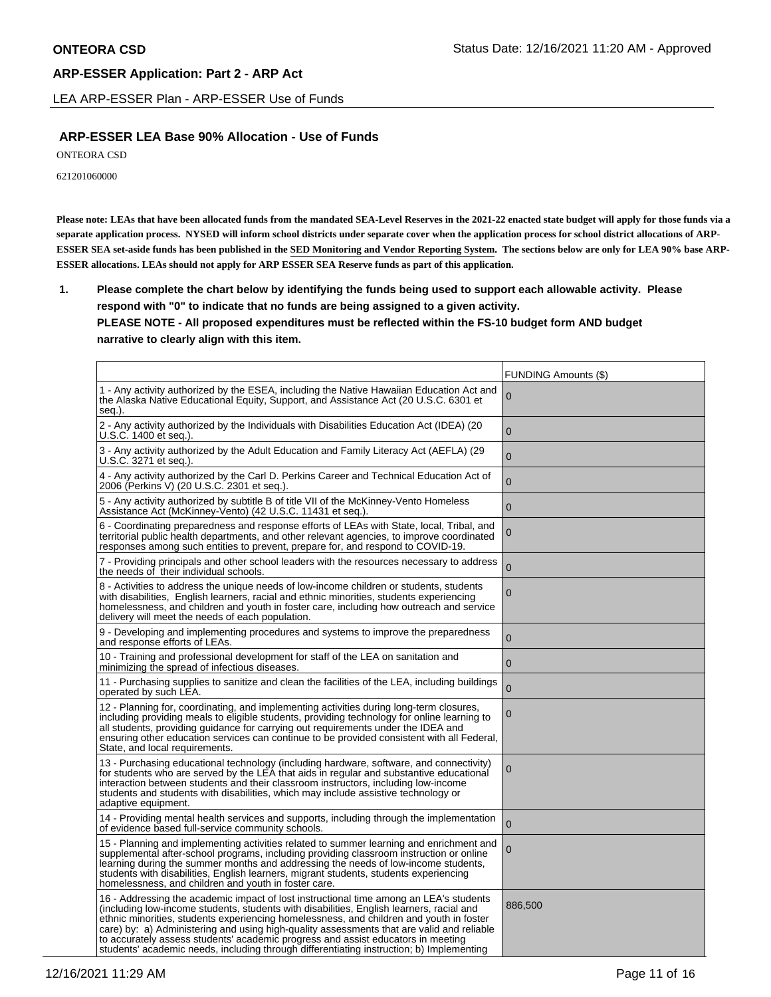LEA ARP-ESSER Plan - ARP-ESSER Use of Funds

## **ARP-ESSER LEA Base 90% Allocation - Use of Funds**

ONTEORA CSD

621201060000

**Please note: LEAs that have been allocated funds from the mandated SEA-Level Reserves in the 2021-22 enacted state budget will apply for those funds via a separate application process. NYSED will inform school districts under separate cover when the application process for school district allocations of ARP-ESSER SEA set-aside funds has been published in the SED Monitoring and Vendor Reporting System. The sections below are only for LEA 90% base ARP-ESSER allocations. LEAs should not apply for ARP ESSER SEA Reserve funds as part of this application.**

**1. Please complete the chart below by identifying the funds being used to support each allowable activity. Please respond with "0" to indicate that no funds are being assigned to a given activity. PLEASE NOTE - All proposed expenditures must be reflected within the FS-10 budget form AND budget narrative to clearly align with this item.**

|                                                                                                                                                                                                                                                                                                                                                                                                                                                                                                                                                            | FUNDING Amounts (\$) |
|------------------------------------------------------------------------------------------------------------------------------------------------------------------------------------------------------------------------------------------------------------------------------------------------------------------------------------------------------------------------------------------------------------------------------------------------------------------------------------------------------------------------------------------------------------|----------------------|
| 1 - Any activity authorized by the ESEA, including the Native Hawaiian Education Act and<br>the Alaska Native Educational Equity, Support, and Assistance Act (20 U.S.C. 6301 et<br>seg.).                                                                                                                                                                                                                                                                                                                                                                 | 0                    |
| 2 - Any activity authorized by the Individuals with Disabilities Education Act (IDEA) (20<br>U.S.C. 1400 et seq.).                                                                                                                                                                                                                                                                                                                                                                                                                                         | $\Omega$             |
| 3 - Any activity authorized by the Adult Education and Family Literacy Act (AEFLA) (29<br>U.S.C. 3271 et seq.).                                                                                                                                                                                                                                                                                                                                                                                                                                            | $\Omega$             |
| 4 - Any activity authorized by the Carl D. Perkins Career and Technical Education Act of<br>2006 (Perkins V) (20 U.S.C. 2301 et seq.).                                                                                                                                                                                                                                                                                                                                                                                                                     | $\overline{0}$       |
| 5 - Any activity authorized by subtitle B of title VII of the McKinney-Vento Homeless<br>Assistance Act (McKinney-Vento) (42 U.S.C. 11431 et seq.).                                                                                                                                                                                                                                                                                                                                                                                                        | $\mathbf{0}$         |
| 6 - Coordinating preparedness and response efforts of LEAs with State, local, Tribal, and<br>territorial public health departments, and other relevant agencies, to improve coordinated<br>responses among such entities to prevent, prepare for, and respond to COVID-19.                                                                                                                                                                                                                                                                                 | $\boldsymbol{0}$     |
| 7 - Providing principals and other school leaders with the resources necessary to address<br>the needs of their individual schools.                                                                                                                                                                                                                                                                                                                                                                                                                        | $\overline{0}$       |
| 8 - Activities to address the unique needs of low-income children or students, students<br>with disabilities, English learners, racial and ethnic minorities, students experiencing<br>homelessness, and children and youth in foster care, including how outreach and service<br>delivery will meet the needs of each population.                                                                                                                                                                                                                         | $\overline{0}$       |
| 9 - Developing and implementing procedures and systems to improve the preparedness<br>and response efforts of LEAs.                                                                                                                                                                                                                                                                                                                                                                                                                                        | $\Omega$             |
| 10 - Training and professional development for staff of the LEA on sanitation and<br>minimizing the spread of infectious diseases.                                                                                                                                                                                                                                                                                                                                                                                                                         | $\mathbf{0}$         |
| 11 - Purchasing supplies to sanitize and clean the facilities of the LEA, including buildings<br>operated by such LEA.                                                                                                                                                                                                                                                                                                                                                                                                                                     | $\Omega$             |
| 12 - Planning for, coordinating, and implementing activities during long-term closures,<br>including providing meals to eligible students, providing technology for online learning to<br>all students, providing guidance for carrying out requirements under the IDEA and<br>ensuring other education services can continue to be provided consistent with all Federal,<br>State, and local requirements.                                                                                                                                                | 0                    |
| 13 - Purchasing educational technology (including hardware, software, and connectivity)<br>for students who are served by the LEA that aids in regular and substantive educational<br>interaction between students and their classroom instructors, including low-income<br>students and students with disabilities, which may include assistive technology or<br>adaptive equipment.                                                                                                                                                                      | $\mathbf 0$          |
| 14 - Providing mental health services and supports, including through the implementation<br>of evidence based full-service community schools.                                                                                                                                                                                                                                                                                                                                                                                                              | $\overline{0}$       |
| 15 - Planning and implementing activities related to summer learning and enrichment and<br>supplemental after-school programs, including providing classroom instruction or online<br>learning during the summer months and addressing the needs of low-income students,<br>students with disabilities, English learners, migrant students, students experiencing<br>homelessness, and children and youth in foster care.                                                                                                                                  | $\mathbf{0}$         |
| 16 - Addressing the academic impact of lost instructional time among an LEA's students<br>(including low-income students, students with disabilities, English learners, racial and<br>ethnic minorities, students experiencing homelessness, and children and youth in foster<br>care) by: a) Administering and using high-quality assessments that are valid and reliable<br>to accurately assess students' academic progress and assist educators in meeting<br>students' academic needs, including through differentiating instruction; b) Implementing | 886,500              |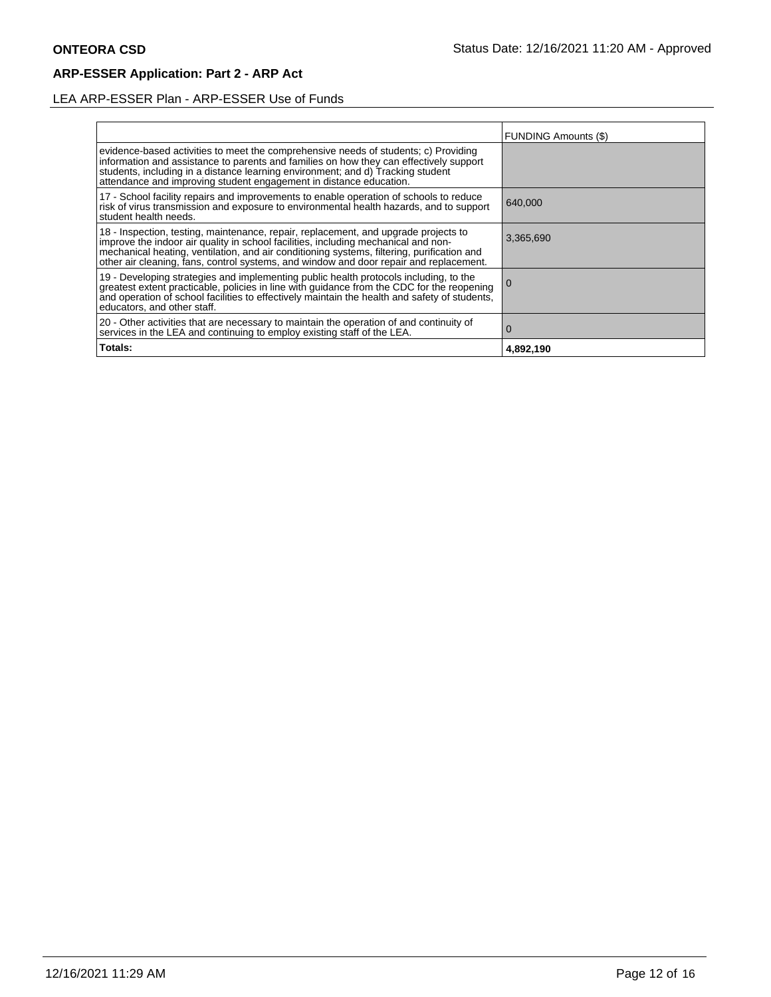## LEA ARP-ESSER Plan - ARP-ESSER Use of Funds

|                                                                                                                                                                                                                                                                                                                                                                | FUNDING Amounts (\$) |
|----------------------------------------------------------------------------------------------------------------------------------------------------------------------------------------------------------------------------------------------------------------------------------------------------------------------------------------------------------------|----------------------|
| evidence-based activities to meet the comprehensive needs of students; c) Providing<br>information and assistance to parents and families on how they can effectively support<br>students, including in a distance learning environment; and d) Tracking student<br>attendance and improving student engagement in distance education.                         |                      |
| 17 - School facility repairs and improvements to enable operation of schools to reduce<br>risk of virus transmission and exposure to environmental health hazards, and to support<br>student health needs.                                                                                                                                                     | 640,000              |
| 18 - Inspection, testing, maintenance, repair, replacement, and upgrade projects to improve the indoor air quality in school facilities, including mechanical and non-<br>mechanical heating, ventilation, and air conditioning systems, filtering, purification and<br>other air cleaning, fans, control systems, and window and door repair and replacement. | 3.365.690            |
| 19 - Developing strategies and implementing public health protocols including, to the<br>greatest extent practicable, policies in line with guidance from the CDC for the reopening<br>and operation of school facilities to effectively maintain the health and safety of students,<br>educators, and other staff.                                            |                      |
| 20 - Other activities that are necessary to maintain the operation of and continuity of<br>services in the LEA and continuing to employ existing staff of the LEA.                                                                                                                                                                                             | $\Omega$             |
| Totals:                                                                                                                                                                                                                                                                                                                                                        | 4,892,190            |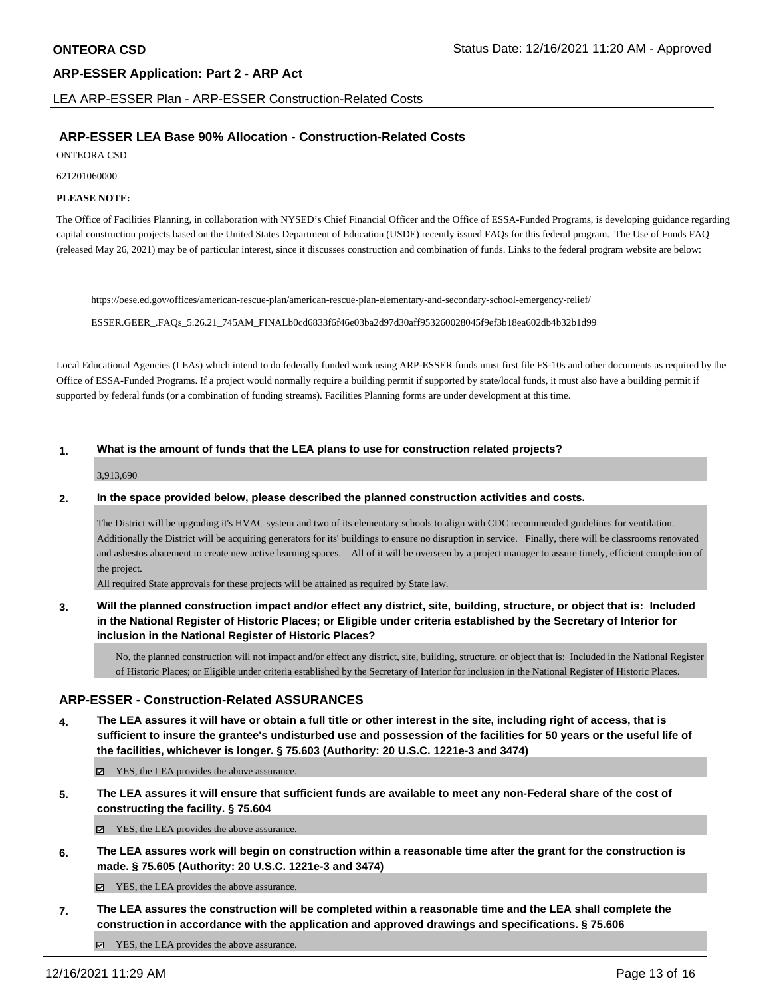LEA ARP-ESSER Plan - ARP-ESSER Construction-Related Costs

## **ARP-ESSER LEA Base 90% Allocation - Construction-Related Costs**

ONTEORA CSD

621201060000

### **PLEASE NOTE:**

The Office of Facilities Planning, in collaboration with NYSED's Chief Financial Officer and the Office of ESSA-Funded Programs, is developing guidance regarding capital construction projects based on the United States Department of Education (USDE) recently issued FAQs for this federal program. The Use of Funds FAQ (released May 26, 2021) may be of particular interest, since it discusses construction and combination of funds. Links to the federal program website are below:

https://oese.ed.gov/offices/american-rescue-plan/american-rescue-plan-elementary-and-secondary-school-emergency-relief/

ESSER.GEER\_.FAQs\_5.26.21\_745AM\_FINALb0cd6833f6f46e03ba2d97d30aff953260028045f9ef3b18ea602db4b32b1d99

Local Educational Agencies (LEAs) which intend to do federally funded work using ARP-ESSER funds must first file FS-10s and other documents as required by the Office of ESSA-Funded Programs. If a project would normally require a building permit if supported by state/local funds, it must also have a building permit if supported by federal funds (or a combination of funding streams). Facilities Planning forms are under development at this time.

### **1. What is the amount of funds that the LEA plans to use for construction related projects?**

3,913,690

### **2. In the space provided below, please described the planned construction activities and costs.**

The District will be upgrading it's HVAC system and two of its elementary schools to align with CDC recommended guidelines for ventilation. Additionally the District will be acquiring generators for its' buildings to ensure no disruption in service. Finally, there will be classrooms renovated and asbestos abatement to create new active learning spaces. All of it will be overseen by a project manager to assure timely, efficient completion of the project.

All required State approvals for these projects will be attained as required by State law.

**3. Will the planned construction impact and/or effect any district, site, building, structure, or object that is: Included in the National Register of Historic Places; or Eligible under criteria established by the Secretary of Interior for inclusion in the National Register of Historic Places?**

No, the planned construction will not impact and/or effect any district, site, building, structure, or object that is: Included in the National Register of Historic Places; or Eligible under criteria established by the Secretary of Interior for inclusion in the National Register of Historic Places.

## **ARP-ESSER - Construction-Related ASSURANCES**

**4. The LEA assures it will have or obtain a full title or other interest in the site, including right of access, that is sufficient to insure the grantee's undisturbed use and possession of the facilities for 50 years or the useful life of the facilities, whichever is longer. § 75.603 (Authority: 20 U.S.C. 1221e-3 and 3474)**

YES, the LEA provides the above assurance.

**5. The LEA assures it will ensure that sufficient funds are available to meet any non-Federal share of the cost of constructing the facility. § 75.604**

YES, the LEA provides the above assurance.

**6. The LEA assures work will begin on construction within a reasonable time after the grant for the construction is made. § 75.605 (Authority: 20 U.S.C. 1221e-3 and 3474)**

YES, the LEA provides the above assurance.

**7. The LEA assures the construction will be completed within a reasonable time and the LEA shall complete the construction in accordance with the application and approved drawings and specifications. § 75.606**

 $\boldsymbol{\triangledown}$  YES, the LEA provides the above assurance.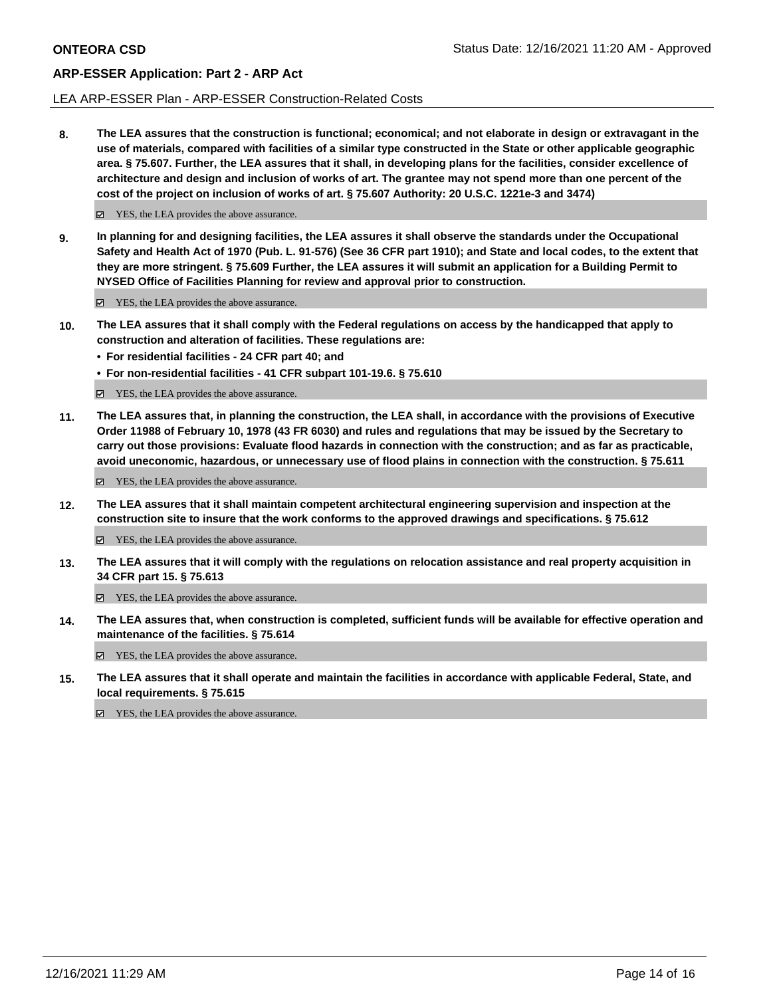### LEA ARP-ESSER Plan - ARP-ESSER Construction-Related Costs

**8. The LEA assures that the construction is functional; economical; and not elaborate in design or extravagant in the use of materials, compared with facilities of a similar type constructed in the State or other applicable geographic area. § 75.607. Further, the LEA assures that it shall, in developing plans for the facilities, consider excellence of architecture and design and inclusion of works of art. The grantee may not spend more than one percent of the cost of the project on inclusion of works of art. § 75.607 Authority: 20 U.S.C. 1221e-3 and 3474)**

 $\boldsymbol{\triangledown}$  YES, the LEA provides the above assurance.

**9. In planning for and designing facilities, the LEA assures it shall observe the standards under the Occupational Safety and Health Act of 1970 (Pub. L. 91-576) (See 36 CFR part 1910); and State and local codes, to the extent that they are more stringent. § 75.609 Further, the LEA assures it will submit an application for a Building Permit to NYSED Office of Facilities Planning for review and approval prior to construction.**

 $\boxtimes$  YES, the LEA provides the above assurance.

- **10. The LEA assures that it shall comply with the Federal regulations on access by the handicapped that apply to construction and alteration of facilities. These regulations are:**
	- **• For residential facilities 24 CFR part 40; and**
	- **• For non-residential facilities 41 CFR subpart 101-19.6. § 75.610**

 $\boldsymbol{\triangledown}$  YES, the LEA provides the above assurance.

**11. The LEA assures that, in planning the construction, the LEA shall, in accordance with the provisions of Executive Order 11988 of February 10, 1978 (43 FR 6030) and rules and regulations that may be issued by the Secretary to carry out those provisions: Evaluate flood hazards in connection with the construction; and as far as practicable, avoid uneconomic, hazardous, or unnecessary use of flood plains in connection with the construction. § 75.611**

YES, the LEA provides the above assurance.

**12. The LEA assures that it shall maintain competent architectural engineering supervision and inspection at the construction site to insure that the work conforms to the approved drawings and specifications. § 75.612**

■ YES, the LEA provides the above assurance.

**13. The LEA assures that it will comply with the regulations on relocation assistance and real property acquisition in 34 CFR part 15. § 75.613**

YES, the LEA provides the above assurance.

**14. The LEA assures that, when construction is completed, sufficient funds will be available for effective operation and maintenance of the facilities. § 75.614**

YES, the LEA provides the above assurance.

**15. The LEA assures that it shall operate and maintain the facilities in accordance with applicable Federal, State, and local requirements. § 75.615**

YES, the LEA provides the above assurance.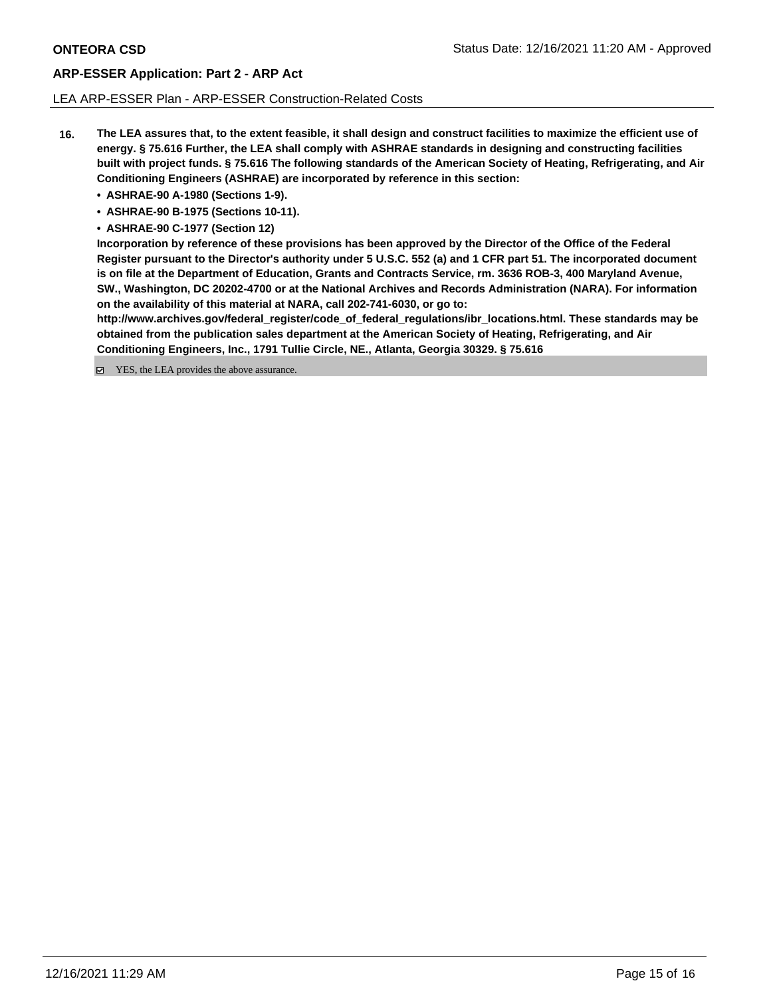### LEA ARP-ESSER Plan - ARP-ESSER Construction-Related Costs

- **16. The LEA assures that, to the extent feasible, it shall design and construct facilities to maximize the efficient use of energy. § 75.616 Further, the LEA shall comply with ASHRAE standards in designing and constructing facilities built with project funds. § 75.616 The following standards of the American Society of Heating, Refrigerating, and Air Conditioning Engineers (ASHRAE) are incorporated by reference in this section:**
	- **• ASHRAE-90 A-1980 (Sections 1-9).**
	- **• ASHRAE-90 B-1975 (Sections 10-11).**
	- **• ASHRAE-90 C-1977 (Section 12)**

**Incorporation by reference of these provisions has been approved by the Director of the Office of the Federal Register pursuant to the Director's authority under 5 U.S.C. 552 (a) and 1 CFR part 51. The incorporated document is on file at the Department of Education, Grants and Contracts Service, rm. 3636 ROB-3, 400 Maryland Avenue, SW., Washington, DC 20202-4700 or at the National Archives and Records Administration (NARA). For information on the availability of this material at NARA, call 202-741-6030, or go to:**

**http://www.archives.gov/federal\_register/code\_of\_federal\_regulations/ibr\_locations.html. These standards may be obtained from the publication sales department at the American Society of Heating, Refrigerating, and Air Conditioning Engineers, Inc., 1791 Tullie Circle, NE., Atlanta, Georgia 30329. § 75.616**

■ YES, the LEA provides the above assurance.